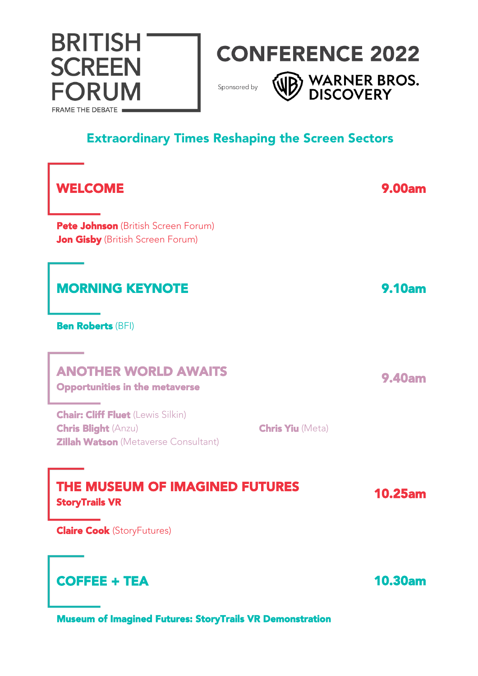

WE WARNER BROS.

Sponsored by

**BRITISH** 

**SCREEN** 

**FORUM** 

FRAME THE DEBATE

### Extraordinary Times Reshaping the Screen Sectors

| <b>WELCOME</b>                                                                                                                                   | <b>9.00am</b>  |
|--------------------------------------------------------------------------------------------------------------------------------------------------|----------------|
| Pete Johnson (British Screen Forum)<br><b>Jon Gisby</b> (British Screen Forum)                                                                   |                |
| <b>MORNING KEYNOTE</b>                                                                                                                           | <b>9.10am</b>  |
| <b>Ben Roberts (BFI)</b>                                                                                                                         |                |
| <b>ANOTHER WORLD AWAITS</b><br><b>Opportunities in the metaverse</b>                                                                             | <b>9.40am</b>  |
| <b>Chair: Cliff Fluet (Lewis Silkin)</b><br><b>Chris Blight (Anzu)</b><br><b>Chris Yiu (Meta)</b><br><b>Zillah Watson</b> (Metaverse Consultant) |                |
| THE MUSEUM OF IMAGINED FUTURES<br><b>StoryTrails VR</b>                                                                                          | <b>10.25am</b> |
| <b>Claire Cook (StoryFutures)</b>                                                                                                                |                |
| <b>COFFEE + TEA</b>                                                                                                                              | <b>10.30am</b> |

Museum of Imagined Futures: StoryTrails VR Demonstration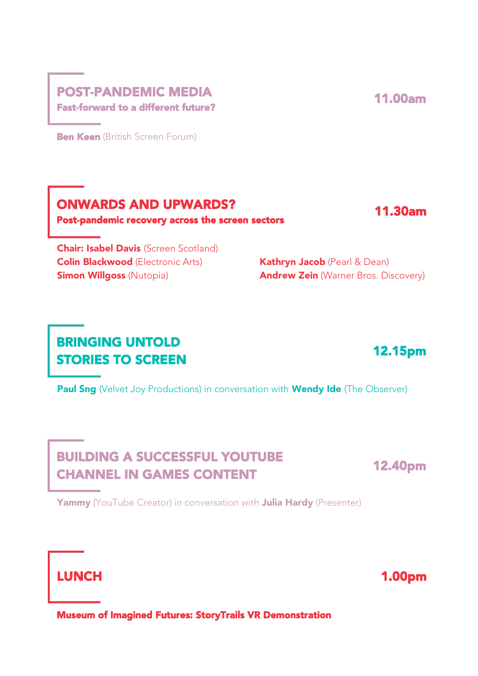### POST-PANDEMIC MEDIA Fast-forward to a different future?

**Ben Keen** (British Screen Forum)

Post-pandemic recovery across the screen sectors

ONWARDS AND UPWARDS?

**Chair: Isabel Davis** (Screen Scotland) Colin Blackwood (Electronic Arts) Kathryn Jacob (Pearl & Dean)

**Simon Willgoss** (Nutopia) **Andrew Zein** (Warner Bros. Discovery)

# BRINGING UNTOLD STORIES TO SCREEN

Paul Sng (Velvet Joy Productions) in conversation with Wendy Ide (The Observer)

# BUILDING A SUCCESSFUL YOUTUBE CHANNEL IN GAMES CONTENT

Yammy (YouTube Creator) in conversation with Julia Hardy (Presenter)

LUNCH 1.00pm

Museum of Imagined Futures: StoryTrails VR Demonstration





11.30am

12.15pm

12.40pm